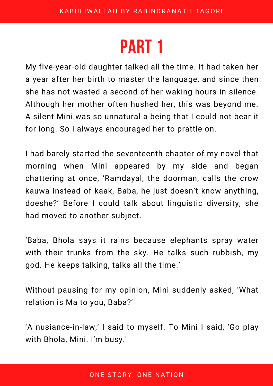My five-year-old daughter talked all the time. It had taken her a year after her birth to master the language, and since then she has not wasted a second of her waking hours in silence. Although her mother often hushed her, this was beyond me. A silent Mini was so unnatural a being that I could not bear it for long. So I always encouraged her to prattle on.

I had barely started the seventeenth chapter of my novel that morning when Mini appeared by my side and began chattering at once, 'Ramdayal, the doorman, calls the crow kauwa instead of kaak, Baba, he just doesn't know anything, doeshe?' Before I could talk about linguistic diversity, she had moved to another subject.

'Baba, Bhola says it rains because elephants spray water with their trunks from the sky. He talks such rubbish, my god. He keeps talking, talks all the time.'

Without pausing for my opinion, Mini suddenly asked, 'What relation is Ma to you, Baba?'

'A nusiance-in-law,' I said to myself. To Mini I said, 'Go play with Bhola, Mini. I'm busy.'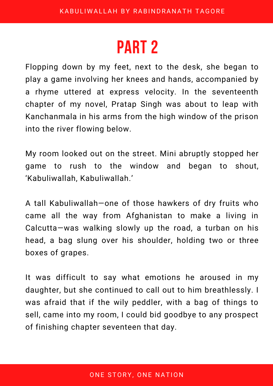Flopping down by my feet, next to the desk, she began to play a game involving her knees and hands, accompanied by a rhyme uttered at express velocity. In the seventeenth chapter of my novel, Pratap Singh was about to leap with Kanchanmala in his arms from the high window of the prison into the river flowing below.

My room looked out on the street. Mini abruptly stopped her game to rush to the window and began to shout, 'Kabuliwallah, Kabuliwallah.'

A tall Kabuliwallah—one of those hawkers of dry fruits who came all the way from Afghanistan to make a living in Calcutta—was walking slowly up the road, a turban on his head, a bag slung over his shoulder, holding two or three boxes of grapes.

It was difficult to say what emotions he aroused in my daughter, but she continued to call out to him breathlessly. I was afraid that if the wily peddler, with a bag of things to sell, came into my room, I could bid goodbye to any prospect of finishing chapter seventeen that day.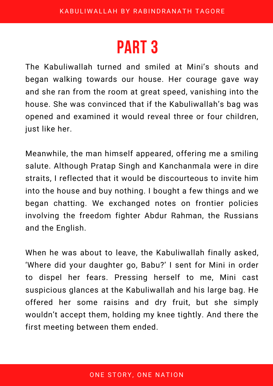The Kabuliwallah turned and smiled at Mini's shouts and began walking towards our house. Her courage gave way and she ran from the room at great speed, vanishing into the house. She was convinced that if the Kabuliwallah's bag was opened and examined it would reveal three or four children, just like her.

Meanwhile, the man himself appeared, offering me a smiling salute. Although Pratap Singh and Kanchanmala were in dire straits, I reflected that it would be discourteous to invite him into the house and buy nothing. I bought a few things and we began chatting. We exchanged notes on frontier policies involving the freedom fighter Abdur Rahman, the Russians and the English.

When he was about to leave, the Kabuliwallah finally asked, 'Where did your daughter go, Babu?' I sent for Mini in order to dispel her fears. Pressing herself to me, Mini cast suspicious glances at the Kabuliwallah and his large bag. He offered her some raisins and dry fruit, but she simply wouldn't accept them, holding my knee tightly. And there the first meeting between them ended.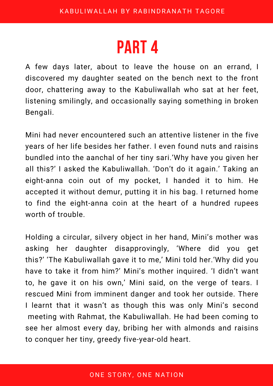A few days later, about to leave the house on an errand, I discovered my daughter seated on the bench next to the front door, chattering away to the Kabuliwallah who sat at her feet, listening smilingly, and occasionally saying something in broken Bengali.

Mini had never encountered such an attentive listener in the five years of her life besides her father. I even found nuts and raisins bundled into the aanchal of her tiny sari.'Why have you given her all this?' I asked the Kabuliwallah. 'Don't do it again.' Taking an eight-anna coin out of my pocket, I handed it to him. He accepted it without demur, putting it in his bag. I returned home to find the eight-anna coin at the heart of a hundred rupees worth of trouble.

Holding a circular, silvery object in her hand, Mini's mother was asking her daughter disapprovingly, 'Where did you get this?' 'The Kabuliwallah gave it to me,' Mini told her.'Why did you have to take it from him?' Mini's mother inquired. 'I didn't want to, he gave it on his own,' Mini said, on the verge of tears. I rescued Mini from imminent danger and took her outside. There I learnt that it wasn't as though this was only Mini's second meeting with Rahmat, the Kabuliwallah. He had been coming to see her almost every day, bribing her with almonds and raisins to conquer her tiny, greedy five-year-old heart.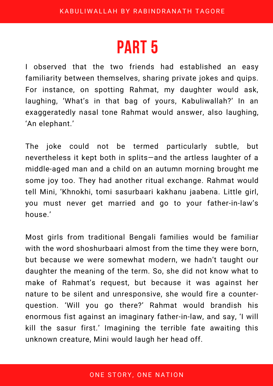I observed that the two friends had established an easy familiarity between themselves, sharing private jokes and quips. For instance, on spotting Rahmat, my daughter would ask, laughing, 'What's in that bag of yours, Kabuliwallah?' In an exaggeratedly nasal tone Rahmat would answer, also laughing, 'An elephant.'

The joke could not be termed particularly subtle, but nevertheless it kept both in splits—and the artless laughter of a middle-aged man and a child on an autumn morning brought me some joy too. They had another ritual exchange. Rahmat would tell Mini, 'Khnokhi, tomi sasurbaari kakhanu jaabena. Little girl, you must never get married and go to your father-in-law's house.'

Most girls from traditional Bengali families would be familiar with the word shoshurbaari almost from the time they were born, but because we were somewhat modern, we hadn't taught our daughter the meaning of the term. So, she did not know what to make of Rahmat's request, but because it was against her nature to be silent and unresponsive, she would fire a counterquestion. 'Will you go there?' Rahmat would brandish his enormous fist against an imaginary father-in-law, and say, 'I will kill the sasur first.' Imagining the terrible fate awaiting this unknown creature, Mini would laugh her head off.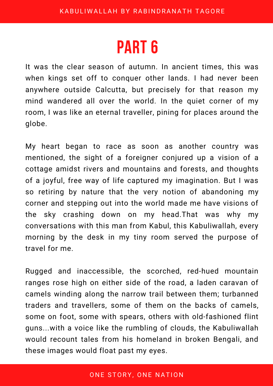It was the clear season of autumn. In ancient times, this was when kings set off to conquer other lands. I had never been anywhere outside Calcutta, but precisely for that reason my mind wandered all over the world. In the quiet corner of my room, I was like an eternal traveller, pining for places around the globe.

My heart began to race as soon as another country was mentioned, the sight of a foreigner conjured up a vision of a cottage amidst rivers and mountains and forests, and thoughts of a joyful, free way of life captured my imagination. But I was so retiring by nature that the very notion of abandoning my corner and stepping out into the world made me have visions of the sky crashing down on my head.That was why my conversations with this man from Kabul, this Kabuliwallah, every morning by the desk in my tiny room served the purpose of travel for me.

Rugged and inaccessible, the scorched, red-hued mountain ranges rose high on either side of the road, a laden caravan of camels winding along the narrow trail between them; turbanned traders and travellers, some of them on the backs of camels, some on foot, some with spears, others with old-fashioned flint guns...with a voice like the rumbling of clouds, the Kabuliwallah would recount tales from his homeland in broken Bengali, and these images would float past my eyes.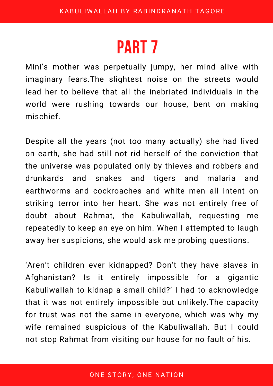Mini's mother was perpetually jumpy, her mind alive with imaginary fears.The slightest noise on the streets would lead her to believe that all the inebriated individuals in the world were rushing towards our house, bent on making mischief.

Despite all the years (not too many actually) she had lived on earth, she had still not rid herself of the conviction that the universe was populated only by thieves and robbers and drunkards and snakes and tigers and malaria and earthworms and cockroaches and white men all intent on striking terror into her heart. She was not entirely free of doubt about Rahmat, the Kabuliwallah, requesting me repeatedly to keep an eye on him. When I attempted to laugh away her suspicions, she would ask me probing questions.

'Aren't children ever kidnapped? Don't they have slaves in Afghanistan? Is it entirely impossible for a gigantic Kabuliwallah to kidnap a small child?' I had to acknowledge that it was not entirely impossible but unlikely.The capacity for trust was not the same in everyone, which was why my wife remained suspicious of the Kabuliwallah. But I could not stop Rahmat from visiting our house for no fault of his.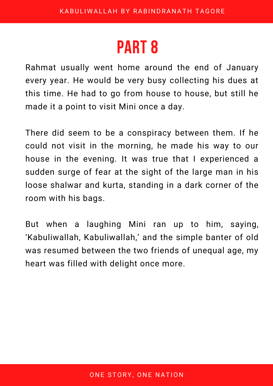Rahmat usually went home around the end of January every year. He would be very busy collecting his dues at this time. He had to go from house to house, but still he made it a point to visit Mini once a day.

There did seem to be a conspiracy between them. If he could not visit in the morning, he made his way to our house in the evening. It was true that I experienced a sudden surge of fear at the sight of the large man in his loose shalwar and kurta, standing in a dark corner of the room with his bags.

But when a laughing Mini ran up to him, saying, 'Kabuliwallah, Kabuliwallah,' and the simple banter of old was resumed between the two friends of unequal age, my heart was filled with delight once more.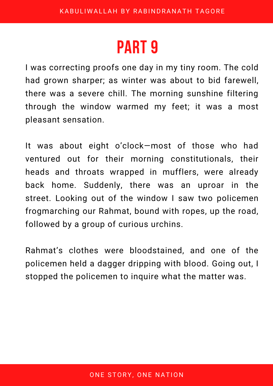I was correcting proofs one day in my tiny room. The cold had grown sharper; as winter was about to bid farewell, there was a severe chill. The morning sunshine filtering through the window warmed my feet; it was a most pleasant sensation.

It was about eight o'clock—most of those who had ventured out for their morning constitutionals, their heads and throats wrapped in mufflers, were already back home. Suddenly, there was an uproar in the street. Looking out of the window I saw two policemen frogmarching our Rahmat, bound with ropes, up the road, followed by a group of curious urchins.

Rahmat's clothes were bloodstained, and one of the policemen held a dagger dripping with blood. Going out, I stopped the policemen to inquire what the matter was.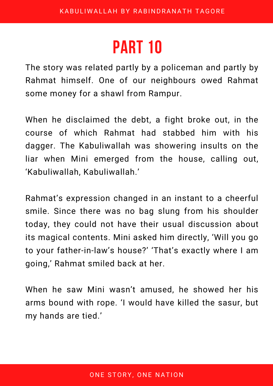The story was related partly by a policeman and partly by Rahmat himself. One of our neighbours owed Rahmat some money for a shawl from Rampur.

When he disclaimed the debt, a fight broke out, in the course of which Rahmat had stabbed him with his dagger. The Kabuliwallah was showering insults on the liar when Mini emerged from the house, calling out, 'Kabuliwallah, Kabuliwallah.'

Rahmat's expression changed in an instant to a cheerful smile. Since there was no bag slung from his shoulder today, they could not have their usual discussion about its magical contents. Mini asked him directly, 'Will you go to your father-in-law's house?' 'That's exactly where I am going,' Rahmat smiled back at her.

When he saw Mini wasn't amused, he showed her his arms bound with rope. 'I would have killed the sasur, but my hands are tied.'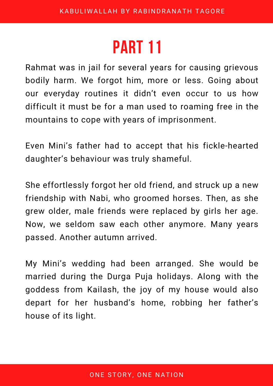Rahmat was in jail for several years for causing grievous bodily harm. We forgot him, more or less. Going about our everyday routines it didn't even occur to us how difficult it must be for a man used to roaming free in the mountains to cope with years of imprisonment.

Even Mini's father had to accept that his fickle-hearted daughter's behaviour was truly shameful.

She effortlessly forgot her old friend, and struck up a new friendship with Nabi, who groomed horses. Then, as she grew older, male friends were replaced by girls her age. Now, we seldom saw each other anymore. Many years passed. Another autumn arrived.

My Mini's wedding had been arranged. She would be married during the Durga Puja holidays. Along with the goddess from Kailash, the joy of my house would also depart for her husband's home, robbing her father's house of its light.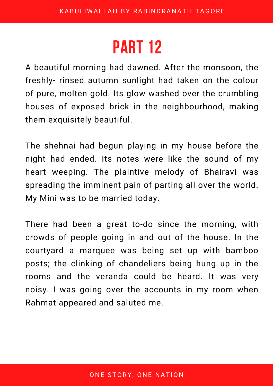A beautiful morning had dawned. After the monsoon, the freshly- rinsed autumn sunlight had taken on the colour of pure, molten gold. Its glow washed over the crumbling houses of exposed brick in the neighbourhood, making them exquisitely beautiful.

The shehnai had begun playing in my house before the night had ended. Its notes were like the sound of my heart weeping. The plaintive melody of Bhairavi was spreading the imminent pain of parting all over the world. My Mini was to be married today.

There had been a great to-do since the morning, with crowds of people going in and out of the house. In the courtyard a marquee was being set up with bamboo posts; the clinking of chandeliers being hung up in the rooms and the veranda could be heard. It was very noisy. I was going over the accounts in my room when Rahmat appeared and saluted me.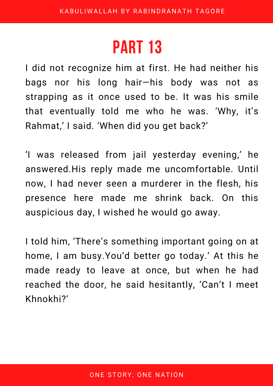I did not recognize him at first. He had neither his bags nor his long hair—his body was not as strapping as it once used to be. It was his smile that eventually told me who he was. 'Why, it's Rahmat, ' I said. 'When did you get back?'

'I was released from jail yesterday evening, ' he answered.His reply made me uncomfortable. Until now, I had never seen a murderer in the flesh, his presence here made me shrink back. On this auspicious day, I wished he would go away.

I told him, 'There's something important going on at home, I am busy.You'd better go today.' At this he made ready to leave at once, but when he had reached the door, he said hesitantly, 'Can't I meet Khnokhi?'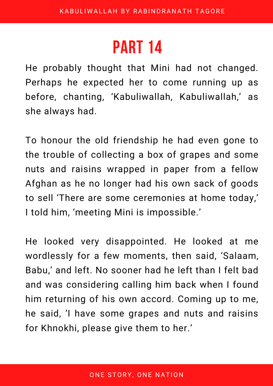He probably thought that Mini had not changed. Perhaps he expected her to come running up as before, chanting, 'Kabuliwallah, Kabuliwallah, ' as she always had.

To honour the old friendship he had even gone to the trouble of collecting a box of grapes and some nuts and raisins wrapped in paper from a fellow Afghan as he no longer had his own sack of goods to sell 'There are some ceremonies at home today, ' I told him, 'meeting Mini is impossible.'

He looked very disappointed. He looked at me wordlessly for a few moments, then said, 'Salaam, Babu, ' and left. No sooner had he left than I felt bad and was considering calling him back when I found him returning of his own accord. Coming up to me, he said, 'I have some grapes and nuts and raisins for Khnokhi, please give them to her.'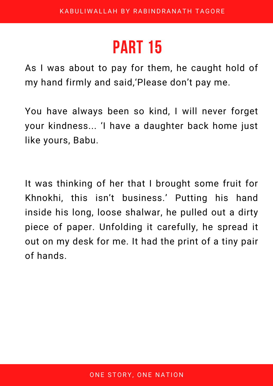As I was about to pay for them, he caught hold of my hand firmly and said, 'Please don't pay me.

You have always been so kind, I will never forget your kindness... 'I have a daughter back home just like yours, Babu.

It was thinking of her that I brought some fruit for Khnokhi, this isn't business.' Putting his hand inside his long, loose shalwar, he pulled out a dirty piece of paper. Unfolding it carefully, he spread it out on my desk for me. It had the print of a tiny pair of hands.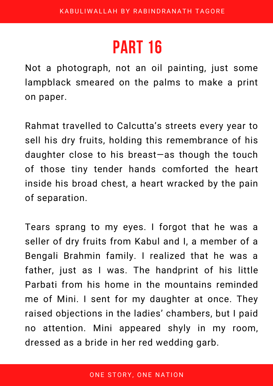Not a photograph, not an oil painting, just some lampblack smeared on the palms to make a print on paper.

Rahmat travelled to Calcutta's streets every year to sell his dry fruits, holding this remembrance of his daughter close to his breast—as though the touch of those tiny tender hands comforted the heart inside his broad chest, a heart wracked by the pain of separation.

Tears sprang to my eyes. I forgot that he was a seller of dry fruits from Kabul and I, a member of a Bengali Brahmin family. I realized that he was a father, just as I was. The handprint of his little Parbati from his home in the mountains reminded me of Mini. I sent for my daughter at once. They raised objections in the ladies' chambers, but I paid no attention. Mini appeared shyly in my room, dressed as a bride in her red wedding garb.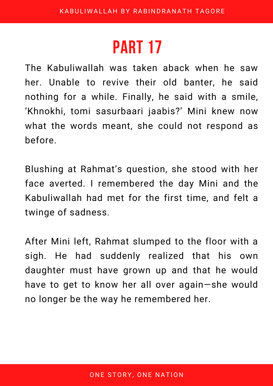The Kabuliwallah was taken aback when he saw her. Unable to revive their old banter, he said nothing for a while. Finally, he said with a smile, 'Khnokhi, tomi sasurbaari jaabis?' Mini knew now what the words meant, she could not respond as before.

Blushing at Rahmat's question, she stood with her face averted. I remembered the day Mini and the Kabuliwallah had met for the first time, and felt a twinge of sadness.

After Mini left, Rahmat slumped to the floor with a sigh. He had suddenly realized that his own daughter must have grown up and that he would have to get to know her all over again—she would no longer be the way he remembered her.